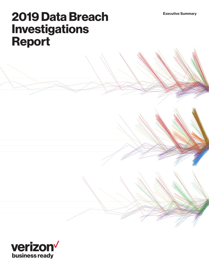# 2019 Data Breach Investigations Report

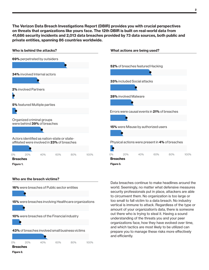The Verizon Data Breach Investigations Report (DBIR) provides you with crucial perspectives on threats that organizations like yours face. The 12th DBIR is built on real-world data from 41,686 security incidents and 2,013 data breaches provided by 73 data sources, both public and private entities, spanning 86 countries worldwide.



and which tactics are most likely to be utilized can prepare you to manage these risks more effectively

and efficiently.

43% of breaches involved small business victims



Figure 2.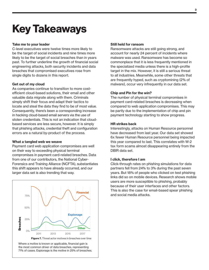# Key Takeaways

# Take me to your leader

C-level executives were twelve times more likely to be the target of social incidents and nine times more likely to be the target of social breaches than in years past. To further underline the growth of financial social engineering attacks, both security incidents and data breaches that compromised executives rose from single digits to dozens in this report.

## Get out of my cloud

As companies continue to transition to more costefficient cloud-based solutions, their email and other valuable data migrate along with them. Criminals simply shift their focus and adapt their tactics to locate and steal the data they find to be of most value. Consequently, there's been a corresponding increase in hacking cloud-based email servers via the use of stolen credentials. This is not an indication that cloudbased services are less secure, however. It is simply that phishing attacks, credential theft and configuration errors are a natural by-product of the process.

## What a tangled web we weave

Payment card web application compromises are well on their way to exceeding physical terminal compromises in payment card-related breaches. Data from one of our contributors, the National Cyber-Forensics and Training Alliance (NCFTA), substantiates this shift appears to have already occurred, and our larger data set is also trending that way.



Where a motive is known or applicable, financial gain is the most common driver of data breaches, representing 71% of cases. Espionage is the motive in 25% of breaches.

## Still held for ransom

Ransomware attacks are still going strong, and account for nearly 24 percent of incidents where malware was used. Ransomware has become so commonplace that it is less frequently mentioned in the specialized media unless there is a high-profile target in the mix. However, it is still a serious threat to all industries. Meanwhile, some other threats that are frequently hyped, such as cryptomining (2% of malware), occur very infrequently in our data set.

## Chip and Pin for the win?

The number of physical terminal compromises in payment card-related breaches is decreasing when compared to web application compromises. This may be partly due to the implementation of chip and pin payment technology starting to show progress.

## HR strikes back

Interestingly, attacks on Human Resource personnel have decreased from last year. Our data set showed 6x fewer Human Resource personnel being impacted this year compared to last. This correlates with W-2 tax form scams almost disappearing entirely from the DBIR data set.

# I click, therefore I am

Click-through rates on phishing simulations for data partners fell from 24% to 3% during the past seven years. But 18% of people who clicked on test phishing links did so on mobile devices. Research shows mobile users are more susceptible to phishing, probably because of their user interfaces and other factors. This is also the case for email-based spear phishing and social media attacks.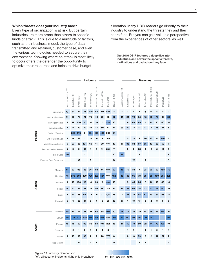## Which threats does your industry face?

Every type of organization is at risk. But certain industries are more prone than others to specific kinds of attack. This is due to a multitude of factors, such as their business model, the type of data transmitted and retained, customer base, and even the various technologies needed to secure their environment. Knowing where an attack is most likely to occur offers the defender the opportunity to optimize their resources and helps to drive budget

allocation. Many DBIR readers go directly to their industry to understand the threats they and their peers face. But you can gain valuable perspective from the experiences of other sectors, as well.

Our 2019 DBIR features a deep dive into industries, and covers the specific threats, motivations and bad actors they face.

|         |                                                                                        |                    | <b>Incidents</b> |              |                         |                  |                       |                   | <b>Breaches</b> |                |                     |                |                         |                 |                  |                       |                   |             |                |
|---------|----------------------------------------------------------------------------------------|--------------------|------------------|--------------|-------------------------|------------------|-----------------------|-------------------|-----------------|----------------|---------------------|----------------|-------------------------|-----------------|------------------|-----------------------|-------------------|-------------|----------------|
|         |                                                                                        | Accommodation (72) | Education (61)   | Finance (52) | Healthcare (62)         | Information (51) | Manufacturing (31-33) | Professional (54) | Public (92)     | Retail (44-45) | Accommodation (72)  | Education (61) | Finance (52)            | Healthcare (62) | Information (51) | Manufacturing (31-33) | Professional (54) | Public (92) | Retail (44-45) |
|         | Crimeware                                                                              | 17                 | 31               | 52           | 76                      | 206              | 58                    | 60                | 4,758           | 21             | 3                   | 3              | $\overline{\mathbf{z}}$ | 1               | 3                | 5                     | 8                 | 8           | 3              |
|         | Web Applications                                                                       | 14                 | 30               | 76           | 71                      | 75               | 40                    | 79                | 93              | 92             | 14                  | 24             | 70                      | 65              | 45               | 36                    | 73                | 33          | 88             |
|         | Privilege Misuse                                                                       | 1                  | 19               | 100          | 110                     | 14               | 36                    | 13                | 13,021          | 16             | 1                   | 9              | 45                      | 85              | 7                | 14                    | 10                | 40          | 14             |
|         | Everything Else                                                                        | 7                  | 24               | 29           | 39                      | 23               | 23                    | 59                | 61              | 14             | 3                   | 20             | 12                      | 27              | 17               | 8                     | 26                | 37          | 8              |
| Pattern | Denial of Service                                                                      |                    | 226              | 575          | 3                       | 684              | 163                   | 408               | 992             | 54             |                     |                |                         |                 |                  |                       | 1                 |             |                |
|         | Cyber-Espionage                                                                        | 1                  | 6                | 32           | 3                       | 22               | 16                    | 9                 | 143             | 2              | 1                   | 5              | 22                      | 2               | 20               | 13                    | 8                 | 140         | $\bf{2}$       |
|         | Miscellaneous Errors                                                                   | 5                  | 37               | 36           | 104                     | 69               | 14                    | 30                | 1,515           | 12             | 2                   | 35             | 34                      | 97              | 65               | 12                    | 28                | 58          | 11             |
|         | Lost and Stolen Assets                                                                 | 4                  | 9                | 9            | 62                      | 4                | 5                     | 14                | 2,820           | 7              | 1                   | з              | 2                       | 28              | 1                | 2                     | 5                 | 16          | 3              |
|         | Point of Sale                                                                          | 40                 |                  |              | $\overline{\mathbf{2}}$ |                  |                       |                   |                 | 10             | 38                  |                |                         | 2               |                  |                       |                   |             | 9              |
|         | Payment Card Skimmers                                                                  |                    |                  | 21           |                         | 1                |                       |                   |                 | 10             |                     |                | 18                      |                 | 1                |                       |                   |             | 4              |
|         |                                                                                        |                    |                  |              |                         |                  |                       |                   |                 |                |                     |                |                         |                 |                  |                       |                   |             |                |
|         | Malware                                                                                | 61                 | 50               | 96           | 85                      | 244              | 88                    | 91                | 4,922           | 90             | 46                  | 16             | 33                      | 7               | 33               | 26                    | 29                | 153         | 70             |
|         | Hacking                                                                                | 45                 | 279              | 699          | 100                     | 796              | 233                   | 524               | 1,279           | 162            | 42                  | 42             | 95                      | 78              | 75               | 58                    | 100               | 205         | 102            |
| Action  | Misuse                                                                                 | 1                  | 19               | 100          | 110                     | 14               | 36                    | 13                | 13,021          | 16             | 1                   | 9              | 45                      | 85              | 7                | 14                    | 10                | 40          | 14             |
|         | Social                                                                                 | 18                 | 43               | 88           | 91                      | 38               | 56                    | 100               | 201             | 15             | 14                  | 38             | 69                      | 78              | 32               | 42                    | 69                | 173         | 10             |
|         | Error                                                                                  | 5                  | 40               | 38           | 124                     | 72               | 16                    | 37                | 4,317           | 15             | 2                   | 37             | 36                      | 110             | 67               | 13                    | 31                | 66          | 14             |
|         | Physical                                                                               | 5                  | 6                | 32           | 47                      | 5                | 4                     | 8                 | 20              | 16             | 2                   | 1              | 18                      | 17              | $\mathbf 2$      | 2                     | 3                 | 9           | 6              |
|         |                                                                                        |                    |                  |              |                         |                  |                       |                   |                 |                |                     |                |                         |                 |                  |                       |                   |             |                |
|         | User Dev                                                                               | 40                 | 45               | 69           | 71                      | 41               | 62                    | 58                | 3,009           | 30             | 33                  | 32             | 38                      | 29              | 19               | 26                    | 29                | 165         | 16             |
|         | Server                                                                                 | 68                 | 324              | 722          | 225                     | 874              | 259                   | 559               | 1,244           | 184            | 55                  | 60             | 117                     | 165             | 133              | 64                    | 111               | 131         | 118            |
|         | Person                                                                                 | 18                 | 45               | 90           | 93                      | 38               | 58                    | 104               | 201             | 15             | 14                  | 40             | 70                      | 80              | 32               | 44                    | 73                | 173         | 10             |
| Asset   | Network                                                                                |                    | 2                | 1            | 3                       | 1                | 1                     | 4                 | 3               | 1              |                     | 1              | 1                       |                 | 1                | 1                     | 2                 | 1           | 1              |
|         |                                                                                        |                    |                  |              |                         |                  |                       |                   |                 |                |                     |                |                         |                 |                  |                       |                   |             |                |
|         | Media                                                                                  |                    | 10               | 16           | 98                      | 2                | 2                     | 20                | 777             | 8              |                     |                | 13                      | 79              | 2                | 2                     |                   | 31          | 7              |
|         | Kiosk/Term                                                                             |                    |                  | 24           | 1                       | 1                | 1                     |                   |                 | 9              |                     |                | 17                      | 1               | 1                |                       |                   |             | 4              |
|         |                                                                                        |                    |                  |              |                         |                  |                       |                   |                 |                |                     |                |                         |                 |                  |                       |                   |             |                |
|         | Figure 39. Industry Comparison<br>(left: all security incidents, right: only breaches) |                    |                  |              |                         |                  |                       |                   |                 |                | 0% 25% 50% 75% 100% |                |                         |                 |                  |                       |                   |             |                |



0% 25% 50% 75% 100%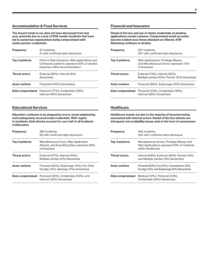## Accommodation & Food Services

The breach totals in our data set have decreased from last year, primarily due to a lack of POS vendor incidents that have led to numerous organizations being compromised with stolen partner credentials.

| <b>Frequency</b>     | 87 incidents,<br>61 with confirmed data disclosure                                                                              |  |  |  |  |  |
|----------------------|---------------------------------------------------------------------------------------------------------------------------------|--|--|--|--|--|
| Top 3 patterns       | Point of Sale intrusions, Web applications and<br>Crimeware patterns represent 93% of all data<br>breaches within Accommodation |  |  |  |  |  |
| <b>Threat actors</b> | External (95%), Internal (5%)<br>(breaches)                                                                                     |  |  |  |  |  |
| <b>Actor motives</b> | Financial (100%) (breaches)                                                                                                     |  |  |  |  |  |
| Data compromised     | Payment (77%), Credentials (25%),<br>Internal (19%) (breaches)                                                                  |  |  |  |  |  |

# Educational Services

Education continues to be plagued by errors, social engineering and inadequately secured email credentials. With regard to incidents, DoS attacks account for over half of all incidents in Education.

| <b>Frequency</b>     | 382 incidents.<br>99 with confirmed data disclosure                                                |
|----------------------|----------------------------------------------------------------------------------------------------|
| Top 3 patterns       | Miscellaneous Errors, Web Application<br>Attacks, and Everything Else represent 80%<br>of breaches |
| <b>Threat actors</b> | External (57%), Internal (45%).<br>Multiple parties (2%) (breaches)                                |
| <b>Actor motives</b> | Financial (80%), Espionage (11%), Fun (4%),<br>Grudge (2%), Ideology (2%) (breaches)               |
| Data compromised     | Personal (55%), Credentials (53%). and<br>Internal (35%) (breaches)                                |

## Financial and Insurance

Denial of Service and use of stolen credentials on banking applications remain common. Compromised email accounts become evident once those attacked are filtered. ATM Skimming continues to decline.

| <b>Frequency</b>     | 927 incidents.<br>207 with confirmed data disclosure                                         |
|----------------------|----------------------------------------------------------------------------------------------|
| Top 3 patterns       | Web Applications, Privilege Misuse,<br>and Miscellaneous Errors represent 72%<br>of breaches |
| <b>Threat actors</b> | External (72%), Internal (36%),<br>Multiple parties (10%), Partner (2%) (breaches)           |
| <b>Actor motives</b> | Financial (88%), Espionage (10%) (breaches)                                                  |
|                      | <b>Data compromised</b> Personal (43%), Credentials (38%),<br>Internal (38%) (breaches)      |

## **Healthcare**

Healthcare stands out due to the majority of breaches being associated with internal actors. Denial of Service attacks are infrequent, but availability issues arise in the form of ransomware.

| <b>Frequency</b>     | 466 incidents.<br>304 with confirmed data disclosure                                                           |
|----------------------|----------------------------------------------------------------------------------------------------------------|
| Top 3 patterns       | Miscellaneous Errors, Privilege Misuse and<br>Web Applications represent 81% of incidents<br>within Healthcare |
| <b>Threat actors</b> | Internal (59%), External (42%), Partner (4%),<br>and Multiple parties (3%) (breaches)                          |
| <b>Actor motives</b> | Financial (83%), Fun (6%), Convenience (3%),<br>Grudge (3%), and Espionage (2%) (breaches)                     |
| Data compromised     | Medical (72%), Personal (34%),<br>Credentials (25%) (breaches)                                                 |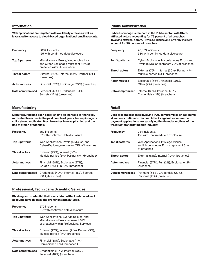## Information

Web applications are targeted with availability attacks as well as leveraged for access to cloud-based organizational email accounts.

| <b>Frequency</b>     | 1,094 Incidents,<br>155 with confirmed data disclosure                                                         |
|----------------------|----------------------------------------------------------------------------------------------------------------|
| Top 3 patterns       | Miscellaneous Errors, Web Applications,<br>and Cyber-Espionage represent 83% of<br>breaches within Information |
| <b>Threat actors</b> | External (56%), Internal (44%), Partner (2%)<br>(breaches)                                                     |
| <b>Actor motives</b> | Financial (67%). Espionage (29%) (breaches)                                                                    |
| Data compromised     | Personal (47%), Credentials (34%),<br>Secrets (22%) (breaches)                                                 |

## Manufacturing

Manufacturing has been experiencing an increase in financially motivated breaches in the past couple of years, but espionage is still a strong motivator. Most breaches involve phishing and the use of stolen credentials.

| <b>Frequency</b>     | 352 incidents.<br>87 with confirmed data disclosure                                  |
|----------------------|--------------------------------------------------------------------------------------|
| Top 3 patterns       | Web Applications, Privilege Misuse, and<br>Cyber-Espionage represent 71% of breaches |
| <b>Threat actors</b> | External (75%), Internal (30%).<br>Multiple parties (6%), Partner (1%) (breaches)    |
| <b>Actor motives</b> | Financial (68%), Espionage (27%),<br>Grudge (3%), Fun (2%) (breaches)                |
| Data compromised     | Credentials (49%), Internal (41%), Secrets<br>$(36%)$ (breaches)                     |

# Professional, Technical & Scientific Services

Phishing and credential theft associated with cloud-based mail accounts have risen as the prominent attack types.

| <b>Frequency</b>     | 670 incidents,<br>157 with confirmed data disclosure                                                                     |
|----------------------|--------------------------------------------------------------------------------------------------------------------------|
| Top 3 patterns       | Web Applications, Everything Else, and<br>Miscellaneous Errors represent 81%<br>of breaches within Professional Services |
| <b>Threat actors</b> | External (77%), Internal (21%), Partner (5%),<br>Multiple parties (3%) (breaches)                                        |
| <b>Actor motives</b> | Financial (88%), Espionage (14%),<br>Convenience (2%) (breaches)                                                         |
| Data compromised     | Credentials (50%), Internal (50%),<br>Personal (46%) (breaches)                                                          |

## Public Administration

Cyber-Espionage is rampant in the Public sector, with Stateaffiliated actors accounting for 79 percent of all breaches involving external actors. Privilege Misuse and Error by insiders account for 30 percent of breaches.

| <b>Frequency</b>     | 23.399 incidents.<br>330 with confirmed data disclosure                                 |
|----------------------|-----------------------------------------------------------------------------------------|
| Top 3 patterns       | Cyber-Espionage, Miscellaneous Errors and<br>Privilege Misuse represent 72% of breaches |
| <b>Threat actors</b> | External (75%), Internal (30%), Partner (1%),<br>Multiple parties (6%) (breaches)       |
| <b>Actor motives</b> | Espionage (66%), Financial (29%),<br>Other (2%) (breaches)                              |
| Data compromised     | Internal (68%), Personal (22%),<br>Credentials (12%) (breaches)                         |

### Retail

Card present breaches involving POS compromises or gas-pump skimmers continue to decline. Attacks against e-commerce payment applications are satisfying the financial motives of the threat actors targeting this industry.

| <b>Frequency</b>     | 234 incidents.<br>139 with confirmed data disclosure                                         |
|----------------------|----------------------------------------------------------------------------------------------|
| Top 3 patterns       | Web Applications, Privilege Misuse,<br>and Miscellaneous Errors represent 81%<br>of breaches |
| <b>Threat actors</b> | External (81%), Internal (19%) (breaches)                                                    |
| <b>Actor motives</b> | Financial (97%), Fun (2%), Espionage (2%)<br>(breaches)                                      |
| Data compromised     | Payment (64%), Credentials (20%),<br>Personal (16%) (breaches)                               |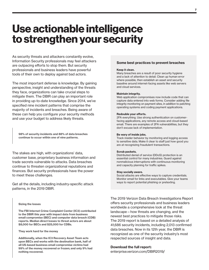# Use actionable intelligence to strengthen your security

As security threats and attackers constantly evolve, Information Security professionals may feel attackers are outpacing efforts to stop them. But security professionals and business leaders have powerful tools of their own to deploy against bad actors.

The most important defense is knowledge. By gaining perspective, insight and understanding of the threats they face, organizations can take crucial steps to mitigate them. The DBIR can play an important role in providing up-to-date knowledge. Since 2014, we've specified nine incident patterns that comprise the majority of incidents and breaches. Being aware of these can help you configure your security methods and use your budget to address likely threats.

98% of security incidents and 88% of data breaches continue to occur within one of nine patterns.

The stakes are high, with organizations' data, customer base, proprietary business information and trade secrets vulnerable to attacks. Data breaches continue to threaten organizational reputations and finances. But security professionals have the power to meet these challenges.

Get all the details, including industry-specific attack patterns, in the 2019 DBIR.

#### Sizing the losses

The FBI Internet Crime Complaint Center (IC3) contributed to the DBIR this year with impact data from business email compromise (BEC) and computer data breach (CDB) reports. Median direct losses to threat actors are about \$8,000 for BECs and \$25,000 for CDBs.

They work hard for the money

Additionally, when the IC3 Recovery Asset Team acts upon BECs and works with the destination bank, half of all US-based business email compromise victims had 99% of the money recovered or frozen; and only 9% had nothing recovered.

### Some best practices to prevent breaches

#### Keep it clean.

Many breaches are a result of poor security hygiene and a lack of attention to detail. Clean up human error where possible, then establish an asset and security baseline around internet-facing assets like web servers and cloud services.

#### Maintain integrity.

Web application compromises now include code that can capture data entered into web forms. Consider adding file integrity monitoring on payment sites, in addition to patching operating systems and coding payment applications.

#### Redouble your efforts.

2FA everything. Use strong authentication on customerfacing applications, any remote access and cloud-based email. There are examples of 2FA vulnerabilities, but they don't excuse lack of implementation.

#### Be wary of inside jobs.

Track insider behavior by monitoring and logging access to sensitive data. Make it clear to staff just how good you are at recognizing fraudulent transactions.

#### Scrub packets.

Distributed denial of service (DDoS) protection is an essential control for many industries. Guard against nonmalicious interruptions with continuous monitoring and capacity planning for traffic spikes.

#### Stay socially aware.

Social attacks are effective ways to capture credentials. Monitor email for links and executables. Give your teams ways to report potential phishing or pretexting.

The 2019 Verizon Data Breach Investigations Report offers security professionals and business leaders worldwide a comprehensive look at the threat landscape—how threats are changing, and the newest best practices to mitigate those risks. The 2019 report is based on a detailed analysis of 41,686 security incidents, including 2,013 confirmed data breaches. Now in its 12th year, the DBIR is recognized as one of the security industry's most respected sources of insight and data.

## Download the full report:

[enterprise.verizon.com/DBIR2019/](https://enterprise.verizon.com/resources/reports/dbir/)